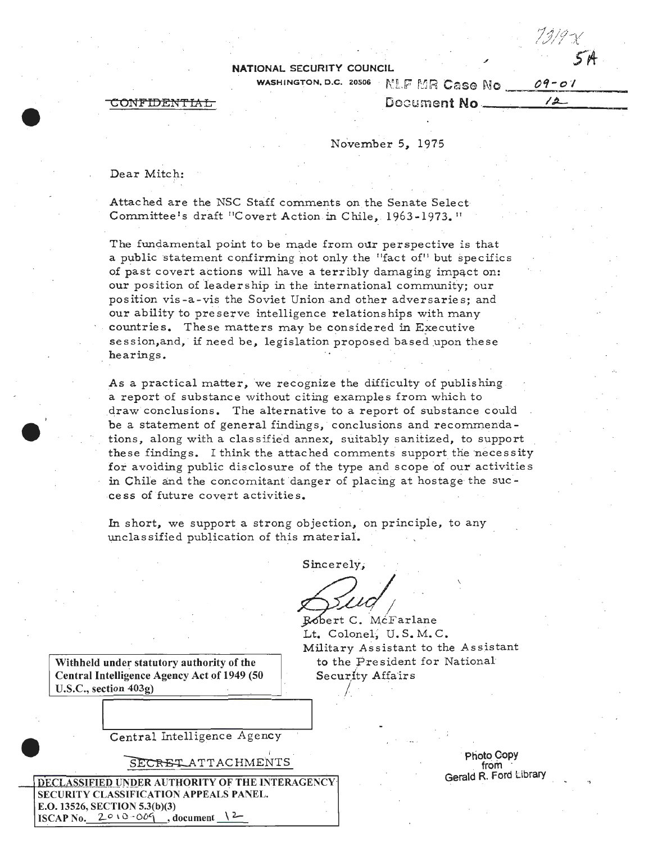### NATIONAL SECURITY COUNCIL

WASHINGTON, D.C. 20506

NFIDENTIAL

#### NLF MR Case No.  $09 - 01$  $12-$ Document No.

November 5, 1975

Dear Mitch:

Attached are the NSC Staff comments on the Senate Select Committee's draft "Covert Action in Chile, 1963-1973."

The fundamental point to be made from our perspective is that a public statement confirming not only the "fact of" but specifics of past covert actions will have a terribly damaging impact on: our position of leadership in the international community; our position vis-a-vis the Soviet Union and other adversaries; and our ability to preserve intelligence relationships with many countries. These matters may be considered in Executive session, and, if need be, legislation proposed based upon these hearings.

As a practical matter, we recognize the difficulty of publishing a report of substance without citing examples from which to draw conclusions. The alternative to a report of substance could be a statement of general findings, conclusions and recommendations, along with a classified annex, suitably sanitized, to support these findings. I think the attached comments support the necessity for avoiding public disclosure of the type and scope of our activities in Chile and the concomitant danger of placing at hostage the success of future covert activities.

In short, we support a strong objection, on principle, to any unclassified publication of this material.

Sincerely,

Robert C. McFarlane Lt. Colonel, U.S.M.C. Military Assistant to the Assistant to the President for National Security Affairs

Withheld under statutory authority of the Central Intelligence Agency Act of 1949 (50  $U.S.C., section 403g)$ 

Central Intelligence Agency

SECRET ATTACHMENTS

DECLASSIFIED UNDER AUTHORITY OF THE INTERAGENCY SECURITY CLASSIFICATION APPEALS PANEL. E.O. 13526, SECTION 5.3(b)(3) ISCAP No.  $2010 - 009$  $,$  document  $\lambda$ 

Photo Copy from Gerald R. Ford Library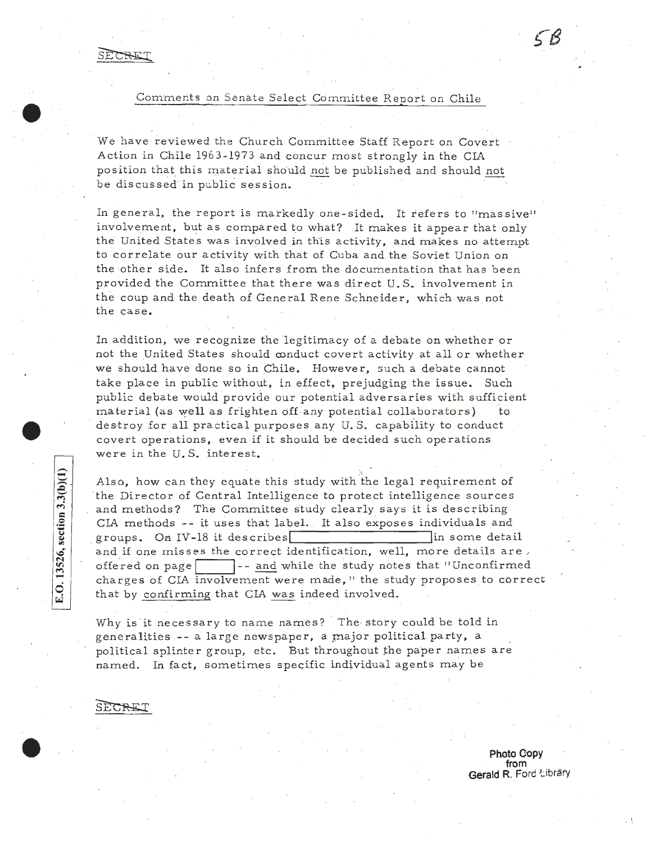Comments on Senate Select Committee Report on Chile

We have reviewed the Church Committee Staff Report on Covert Action in Chile 1963-1973 and concur most strongly in the CIA position that this material should not be published and should not be discussed in public session.

In general, the report is markedly one-sided. It refers to "massive" involvement, but as compared to what? It makes it appear that only the United States was involved in this activity, and makes no attempt to correlate our activity with that of Cuba and the Soviet Union on the other side. It also infers from the documentation that has been provided the Committee that there was direct U.S. involvement in the coup and the death of General Rene Schneider, which was not the case.

In addition, we recognize the legitimacy of a debate on whether or not the United States should conduct covert activity at all or whether we should have done· so in Chile. However, such a debate cannot take place in public without, in effect, prejudging the issue. Such public debate would provide our potential adversaries with sufficient material (as well as frighten off any potential collaborators) to destroy for all practical purposes any U.S. capability to conduct covert operations, even if it should be decided such operations were in the U.S. interest.

.<br>Also, how can they equate this study with the legal requirement of the Director of Central Intelligence to protect intelligence sources and methods? The Committee study clearly says it is describing CIA methods --it uses that label. It also exposes individuals and groups. On IV-18 it describes in some detail and if one misses the correct identification, well, more details are. offered on page  $\Box$  -- and while the study notes that "Unconfirmed charges of CIA involvement were made," the study proposes to correct that by confirming that CIA was indeed involved.

Why is it necessary to name names? The story could be told in generalities -- a large newspaper, a major political party, a political splinter group, etc. But throughout the paper names are named. In fact, sometimes specific individual agents may be

SECRET

SECRET

**Photo C-opy from Gerald R. Ford Library** 

. I

E.O. 13526, section 3.3(b)(1)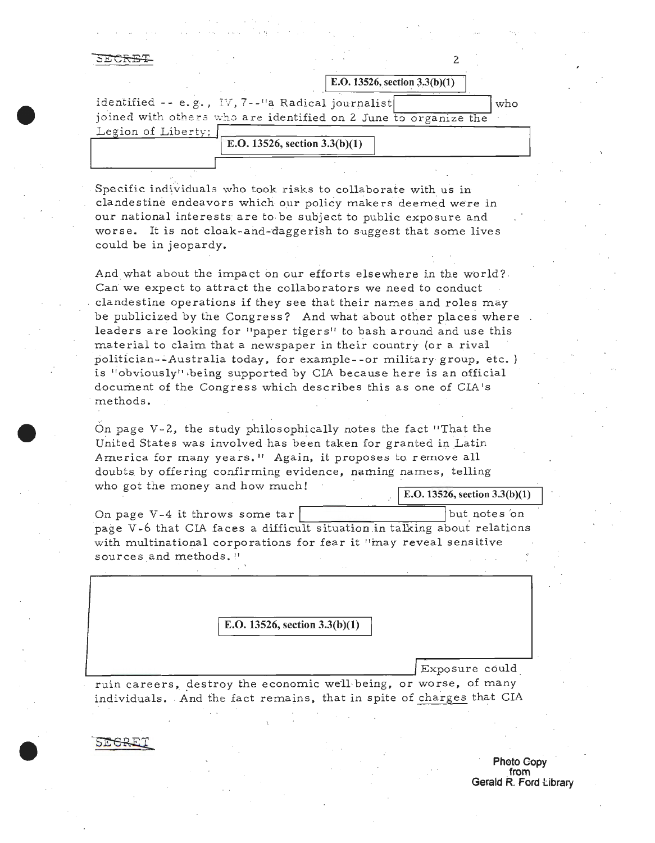#### <del>ਨ ਵਾਲ ਨਾ ਸਾ</del>

|                    | E.O. 13526, section $3.3(b)(1)$                                 |
|--------------------|-----------------------------------------------------------------|
|                    | identified -- e.g., IV, 7--"a Radical journalist<br>who         |
|                    | joined with others who are identified on 2 June to organize the |
| Legion of Liberty; |                                                                 |
|                    | E.O. 13526, section $3.3(b)(1)$                                 |
|                    |                                                                 |

Specific individuals who took risks to collaborate with us in clandestine endeavors which our policy makers deemed were in our national interests are *to* be subject to public exposure and worse. It is not cloak-and-daggerish *to* suggest that some lives could be in jeopardy.

And what about the impact on our efforts elsewhere in the world? . Can we expect to attract the collaborators we need to conduct clandestine operations if they see that their names and roles may be publicized by the Congress? And what about other places where leaders are looking for "paper tigers'' to bash around and use this material to claim that a newspaper in their country {or a rival politician--Australia today, for example--or military group, etc.) is ''obviously11 ·being supported by CIA because here is an official document of the Congress which describes this as one of CIA's methods.

On page V -2, the study philosophically notes the fact ''That the United States was involved has been taken for granted in Latin America for many years." Again, it proposes to remove all doubts. by offering confirming evidence, naming names, telling who got the money and how much!  $\sqrt{\text{E.O. 13526, section 3.3(b)(1)}}$ 

2

On page V-4 it throws some  $\text{tar}$  |  $\text{but notes on}$ page V -6 that CIA faces a difficult situation .in talking about relations with multinational corporations for fear it "may reveal sensitive sources and methods."

I **E.O. 13526, section 3.3(b)(l)** 

L...------------------------------' Expo sure could . ruin careers, \_destroy the economic we·ll·being, or worse, of many individuals. And the fact remains, that in spite of charges that CIA

\_,

**Photo Copy from Gerald R. Ford tibrary**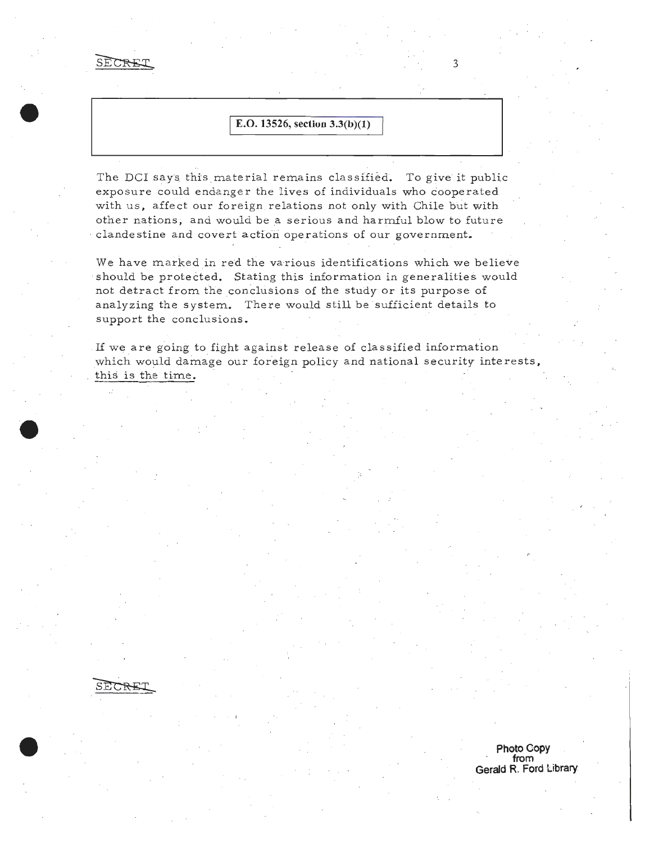SECREI

# I **E.O. 13526, section 3.3(b)(l)**

3

**Photo Copy from Gerald R. Ford Library** 

The DCI says this material remains classified. To give it public exposure could endanger the lives of individuals who cooperated with us, affect our foreign relations not only with Chile but with other nations, and would be a serious and harmful blow to future , clandestine and covert action operations of our government.

We have marked in red the various identifications which we believe should be protected. Stating this information in generalities would not detract from the conclusions of the study or its purpose of analyzing the system. There would still be sufficient details to support the conclusions.

If we are going to fight against release of classified information which would damage our foreign policy and national security interests, this is the time.



**·e**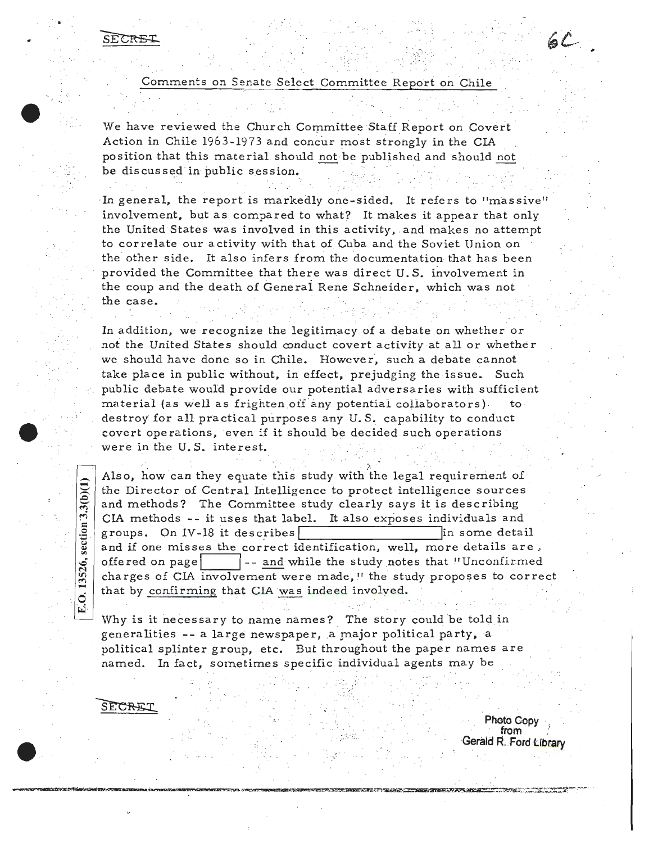'.

Comments on Senate Select Committee Report on Chile

 $\mathcal{L}^{\text{max}}_{\mathbf{X}}$ 

·;.

 $6C$ 

We have reviewed the Church Committee Staff Report on Covert Action in Chile 1963-1973 and concur most strongly in the CIA position that this material should not be published and should not be discussed in public session. :. . ·\'·'·:·.:·

·In general, the report is markedly one-sided. It refers to "massive'' involvement, but as compared to what? It makes it appear that only the United States was involved in this activity, and makes no attempt to correlate our activity with that of Cuba and the Soviet Union on the other side. It also infers from the documentation that has been provided the Committee that there was direct U.S. involvement in the coup and the death of Generai Rene Schneider, which was not the case.

In addition, we recognize the legitimacy of a debate on whether or not the United States should conduct covert activity at all or whether we should have done so in Chile. However, such a debate cannot take place in public without, in effect, prejudging the issue. Such public debate would provide our potential adversaries with sufficient material (as well as frighten off any potential collaborators) destroy for all practical purposes any U.S. capability to conduct covert operations, even if it should be decided such operations were in the U.S. interest.

Also, how can they equate this study with the legal requirement of the Director of Central Intelligence to protect intelligence sources and methods? The Committee study clearly says it is describing CIA methods  $-$ - it uses that label. It also exposes individuals and groups. On IV-18 it describes  $\boxed{\qquad}$  in some detail and if one misses the correct identification, well, more details are. offered on page **If the study notes that "Unconfirmed"** -- and while the study notes that "Unconfirmed" charges of CIA involvement were made, 11 the study proposes to correct  $\begin{array}{c|c} \hline \begin{array}{c} \hline \end{array} \end{array}$  that by <u>confirming</u> that CIA <u>was</u> indeed involved.

Why is it necessary to name names? The story could be told in generalities -- a large newspaper, a major political party, a political splinter group, etc. But throughout the paper names are named. In fact, sometimes specific individual agents may be

*: ···. :* 

. ..

ECREI

 $E. O. 13526$ , section  $3.3(b)(1)$ 

**Photo Copy** . . **from** . -:;. G~rald **.. Ford Ubrary e .**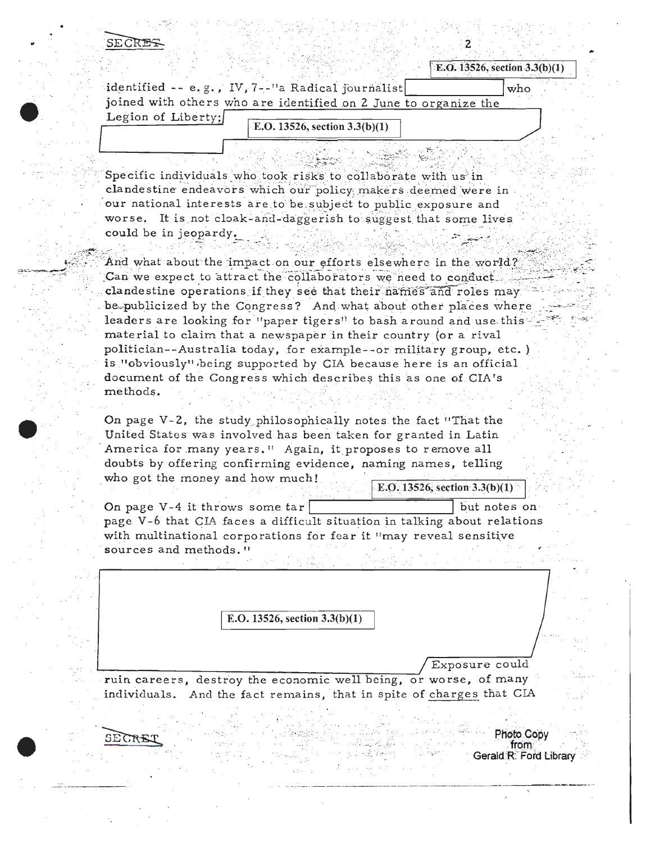SECREI

| <b>E.G. 19520, Section 9.9(D)(1)</b>                            |     |
|-----------------------------------------------------------------|-----|
| identified -- e.g., IV, 7--"a Radical journalist                | who |
| joined with others who are identified on 2 June to organize the |     |
| Legion of Liberty;<br>E.O. 13526, section $3.3(b)(1)$           |     |
|                                                                 |     |

Specific individuals who took risks to collaborate with us in clandestine endeavors which our policy makers deemed were in our national interests are to be subject to public exposure and worse. It is not cloak-and-daggerish to suggest that some lives could be in jeopardy.

And what about the impact on our efforts elsewhere in the world? Can we expect to attract the collaborators we need to conduct. clandestine operations if they see that their names and roles may be publicized by the Congress? And what about other places where leaders are looking for "paper tigers" to bash around and use this material to claim that a newspaper in their country (or a rival politician--Australia today, for example--or military group, etc.) is "obviously" being supported by CIA because here is an official document of the Congress which describes this as one of CIA's methods.

On page V-2, the study philosophically notes the fact "That the United States was involved has been taken for granted in Latin America for many years." Again, it proposes to remove all doubts by offering confirming evidence, naming names, telling who got the money and how much! E.O.  $13526$ , section 3.3(b)(1)

On page V-4 it throws some  $tar$ but notes on page V-6 that CIA faces a difficult situation in talking about relations with multinational corporations for fear it "may reveal sensitive sources and methods."

E.O. 13526, section  $3.3(b)(1)$ 

Exposure could

Photo Copy

from **Gerald R. Ford Library** 

ruin careers, destroy the economic well being, or worse, of many individuals. And the fact remains, that in spite of charges that CIA